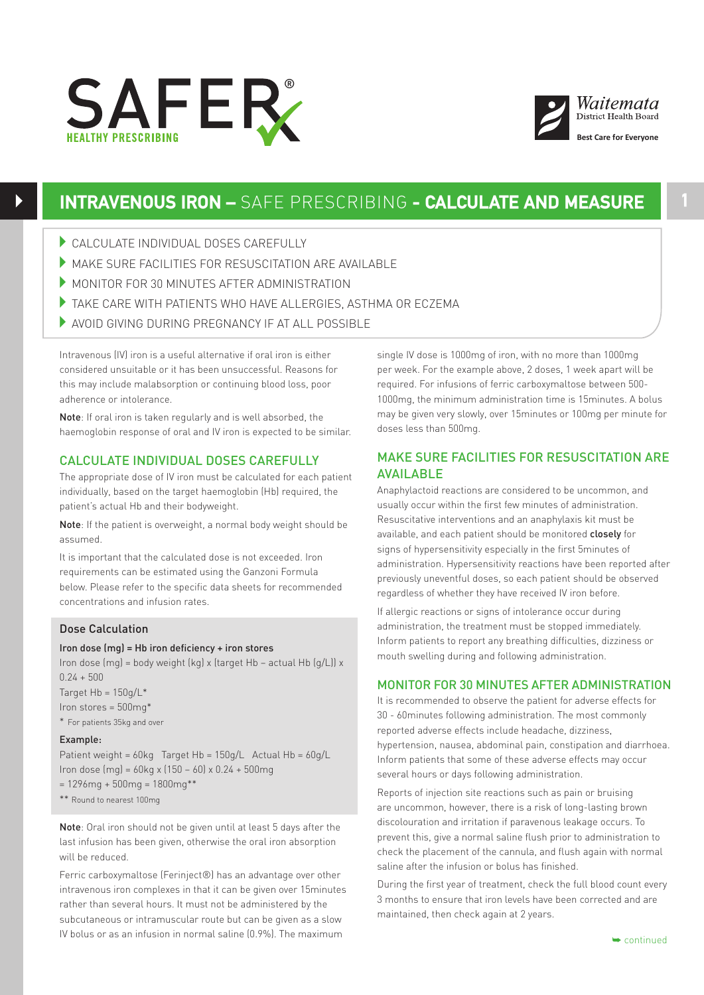



# **INTRAVENOUS IRON –** SAFE PRESCRIBING **- CALCULATE AND MEASURE**

- 4CALCULATE INDIVIDUAL DOSES CAREFULLY
- 4MAKE SURE FACILITIES FOR RESUSCITATION ARE AVAILABLE
- $\blacktriangleright$  MONITOR FOR 30 MINUTES AFTER ADMINISTRATION
- $\blacktriangleright$  TAKE CARE WITH PATIENTS WHO HAVE ALLERGIES, ASTHMA OR ECZEMA
- 4AVOID GIVING DURING PREGNANCY IF AT ALL POSSIBLE

Intravenous (IV) iron is a useful alternative if oral iron is either considered unsuitable or it has been unsuccessful. Reasons for this may include malabsorption or continuing blood loss, poor adherence or intolerance.

Note: If oral iron is taken regularly and is well absorbed, the haemoglobin response of oral and IV iron is expected to be similar.

## CALCULATE INDIVIDUAL DOSES CAREFULLY

The appropriate dose of IV iron must be calculated for each patient individually, based on the target haemoglobin (Hb) required, the patient's actual Hb and their bodyweight.

Note: If the patient is overweight, a normal body weight should be assumed.

It is important that the calculated dose is not exceeded. Iron requirements can be estimated using the Ganzoni Formula below. Please refer to the specific data sheets for recommended concentrations and infusion rates.

### Dose Calculation

#### Iron dose (mg) = Hb iron deficiency + iron stores

Iron dose (mg) = body weight (kg) x (target Hb – actual Hb (g/L)) x  $0.24 + 500$ 

Target  $Hb = 150q/L^*$ Iron stores = 500mg\* \* For patients 35kg and over

#### Example:

Patient weight = 60kg Target Hb = 150g/L Actual Hb = 60g/L Iron dose (mg) = 60kg x (150 – 60) x 0.24 + 500mg  $= 1296$ mg + 500mg = 1800mg\*\* \*\* Round to nearest 100mg

Note: Oral iron should not be given until at least 5 days after the last infusion has been given, otherwise the oral iron absorption will be reduced.

Ferric carboxymaltose (Ferinject®) has an advantage over other intravenous iron complexes in that it can be given over 15minutes rather than several hours. It must not be administered by the subcutaneous or intramuscular route but can be given as a slow IV bolus or as an infusion in normal saline (0.9%). The maximum

single IV dose is 1000mg of iron, with no more than 1000mg per week. For the example above, 2 doses, 1 week apart will be required. For infusions of ferric carboxymaltose between 500- 1000mg, the minimum administration time is 15minutes. A bolus may be given very slowly, over 15minutes or 100mg per minute for doses less than 500mg.

## MAKE SURE FACILITIES FOR RESUSCITATION ARE **AVAIL ARLE**

Anaphylactoid reactions are considered to be uncommon, and usually occur within the first few minutes of administration. Resuscitative interventions and an anaphylaxis kit must be available, and each patient should be monitored closely for signs of hypersensitivity especially in the first 5minutes of administration. Hypersensitivity reactions have been reported after previously uneventful doses, so each patient should be observed regardless of whether they have received IV iron before.

If allergic reactions or signs of intolerance occur during administration, the treatment must be stopped immediately. Inform patients to report any breathing difficulties, dizziness or mouth swelling during and following administration.

#### MONITOR FOR 30 MINUTES AFTER ADMINISTRATION

It is recommended to observe the patient for adverse effects for 30 - 60minutes following administration. The most commonly reported adverse effects include headache, dizziness, hypertension, nausea, abdominal pain, constipation and diarrhoea. Inform patients that some of these adverse effects may occur several hours or days following administration.

Reports of injection site reactions such as pain or bruising are uncommon, however, there is a risk of long-lasting brown discolouration and irritation if paravenous leakage occurs. To prevent this, give a normal saline flush prior to administration to check the placement of the cannula, and flush again with normal saline after the infusion or bolus has finished.

During the first year of treatment, check the full blood count every 3 months to ensure that iron levels have been corrected and are maintained, then check again at 2 years.